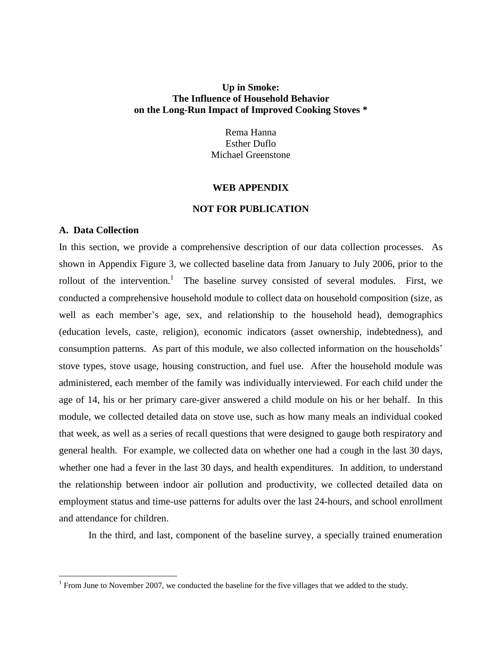## **Up in Smoke: The Influence of Household Behavior on the Long-Run Impact of Improved Cooking Stoves \***

Rema Hanna Esther Duflo Michael Greenstone

### **WEB APPENDIX**

## **NOT FOR PUBLICATION**

## **A. Data Collection**

 $\overline{\phantom{a}}$ 

In this section, we provide a comprehensive description of our data collection processes. As shown in Appendix Figure 3, we collected baseline data from January to July 2006, prior to the rollout of the intervention.<sup>1</sup> The baseline survey consisted of several modules. First, we conducted a comprehensive household module to collect data on household composition (size, as well as each member's age, sex, and relationship to the household head), demographics (education levels, caste, religion), economic indicators (asset ownership, indebtedness), and consumption patterns. As part of this module, we also collected information on the households' stove types, stove usage, housing construction, and fuel use. After the household module was administered, each member of the family was individually interviewed. For each child under the age of 14, his or her primary care-giver answered a child module on his or her behalf. In this module, we collected detailed data on stove use, such as how many meals an individual cooked that week, as well as a series of recall questions that were designed to gauge both respiratory and general health. For example, we collected data on whether one had a cough in the last 30 days, whether one had a fever in the last 30 days, and health expenditures. In addition, to understand the relationship between indoor air pollution and productivity, we collected detailed data on employment status and time-use patterns for adults over the last 24-hours, and school enrollment and attendance for children.

In the third, and last, component of the baseline survey, a specially trained enumeration

<sup>&</sup>lt;sup>1</sup> From June to November 2007, we conducted the baseline for the five villages that we added to the study.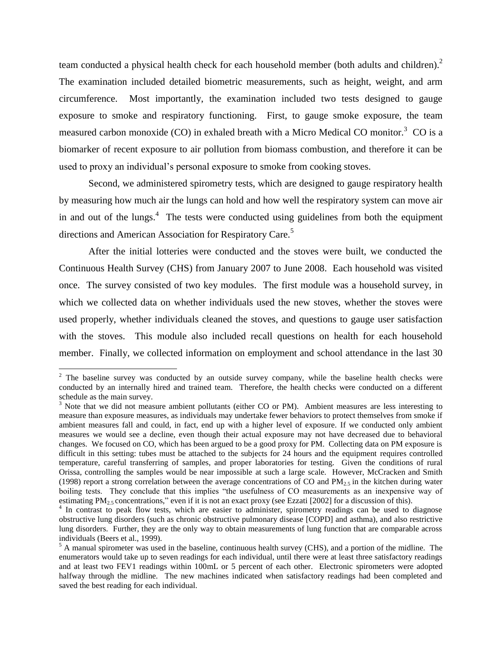team conducted a physical health check for each household member (both adults and children).<sup>2</sup> The examination included detailed biometric measurements, such as height, weight, and arm circumference. Most importantly, the examination included two tests designed to gauge exposure to smoke and respiratory functioning. First, to gauge smoke exposure, the team measured carbon monoxide (CO) in exhaled breath with a Micro Medical CO monitor.<sup>3</sup> CO is a biomarker of recent exposure to air pollution from biomass combustion, and therefore it can be used to proxy an individual's personal exposure to smoke from cooking stoves.

Second, we administered spirometry tests, which are designed to gauge respiratory health by measuring how much air the lungs can hold and how well the respiratory system can move air in and out of the lungs. $4$  The tests were conducted using guidelines from both the equipment directions and American Association for Respiratory Care.<sup>5</sup>

After the initial lotteries were conducted and the stoves were built, we conducted the Continuous Health Survey (CHS) from January 2007 to June 2008. Each household was visited once. The survey consisted of two key modules. The first module was a household survey, in which we collected data on whether individuals used the new stoves, whether the stoves were used properly, whether individuals cleaned the stoves, and questions to gauge user satisfaction with the stoves. This module also included recall questions on health for each household member. Finally, we collected information on employment and school attendance in the last 30

 $\overline{\phantom{a}}$ 

<sup>&</sup>lt;sup>2</sup> The baseline survey was conducted by an outside survey company, while the baseline health checks were conducted by an internally hired and trained team. Therefore, the health checks were conducted on a different schedule as the main survey.

<sup>&</sup>lt;sup>3</sup> Note that we did not measure ambient pollutants (either CO or PM). Ambient measures are less interesting to measure than exposure measures, as individuals may undertake fewer behaviors to protect themselves from smoke if ambient measures fall and could, in fact, end up with a higher level of exposure. If we conducted only ambient measures we would see a decline, even though their actual exposure may not have decreased due to behavioral changes. We focused on CO, which has been argued to be a good proxy for PM. Collecting data on PM exposure is difficult in this setting: tubes must be attached to the subjects for 24 hours and the equipment requires controlled temperature, careful transferring of samples, and proper laboratories for testing. Given the conditions of rural Orissa, controlling the samples would be near impossible at such a large scale. However, McCracken and Smith (1998) report a strong correlation between the average concentrations of CO and  $PM_{2.5}$  in the kitchen during water boiling tests. They conclude that this implies "the usefulness of CO measurements as an inexpensive way of estimating  $PM_{2.5}$  concentrations," even if it is not an exact proxy (see Ezzati [2002] for a discussion of this).

<sup>&</sup>lt;sup>4</sup> In contrast to peak flow tests, which are easier to administer, spirometry readings can be used to diagnose obstructive lung disorders (such as chronic obstructive pulmonary disease [COPD] and asthma), and also restrictive lung disorders. Further, they are the only way to obtain measurements of lung function that are comparable across individuals (Beers et al., 1999).

 $<sup>5</sup>$  A manual spirometer was used in the baseline, continuous health survey (CHS), and a portion of the midline. The</sup> enumerators would take up to seven readings for each individual, until there were at least three satisfactory readings and at least two FEV1 readings within 100mL or 5 percent of each other. Electronic spirometers were adopted halfway through the midline. The new machines indicated when satisfactory readings had been completed and saved the best reading for each individual.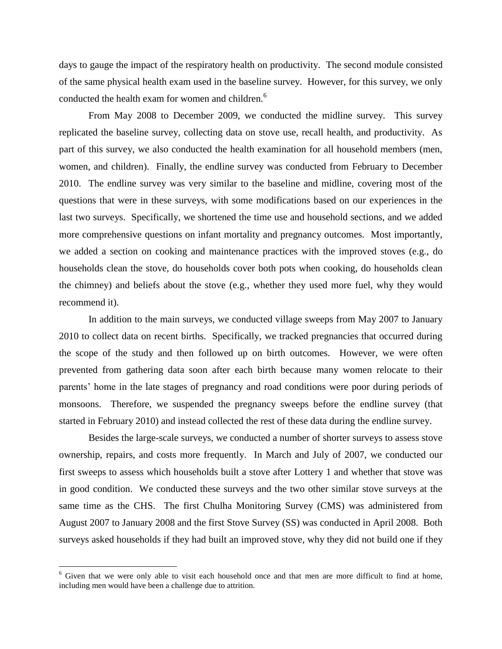days to gauge the impact of the respiratory health on productivity. The second module consisted of the same physical health exam used in the baseline survey. However, for this survey, we only conducted the health exam for women and children.<sup>6</sup>

From May 2008 to December 2009, we conducted the midline survey. This survey replicated the baseline survey, collecting data on stove use, recall health, and productivity. As part of this survey, we also conducted the health examination for all household members (men, women, and children). Finally, the endline survey was conducted from February to December 2010. The endline survey was very similar to the baseline and midline, covering most of the questions that were in these surveys, with some modifications based on our experiences in the last two surveys. Specifically, we shortened the time use and household sections, and we added more comprehensive questions on infant mortality and pregnancy outcomes. Most importantly, we added a section on cooking and maintenance practices with the improved stoves (e.g., do households clean the stove, do households cover both pots when cooking, do households clean the chimney) and beliefs about the stove (e.g., whether they used more fuel, why they would recommend it).

In addition to the main surveys, we conducted village sweeps from May 2007 to January 2010 to collect data on recent births. Specifically, we tracked pregnancies that occurred during the scope of the study and then followed up on birth outcomes. However, we were often prevented from gathering data soon after each birth because many women relocate to their parents' home in the late stages of pregnancy and road conditions were poor during periods of monsoons. Therefore, we suspended the pregnancy sweeps before the endline survey (that started in February 2010) and instead collected the rest of these data during the endline survey.

Besides the large-scale surveys, we conducted a number of shorter surveys to assess stove ownership, repairs, and costs more frequently. In March and July of 2007, we conducted our first sweeps to assess which households built a stove after Lottery 1 and whether that stove was in good condition. We conducted these surveys and the two other similar stove surveys at the same time as the CHS. The first Chulha Monitoring Survey (CMS) was administered from August 2007 to January 2008 and the first Stove Survey (SS) was conducted in April 2008. Both surveys asked households if they had built an improved stove, why they did not build one if they

 $\overline{\phantom{a}}$ 

<sup>&</sup>lt;sup>6</sup> Given that we were only able to visit each household once and that men are more difficult to find at home, including men would have been a challenge due to attrition.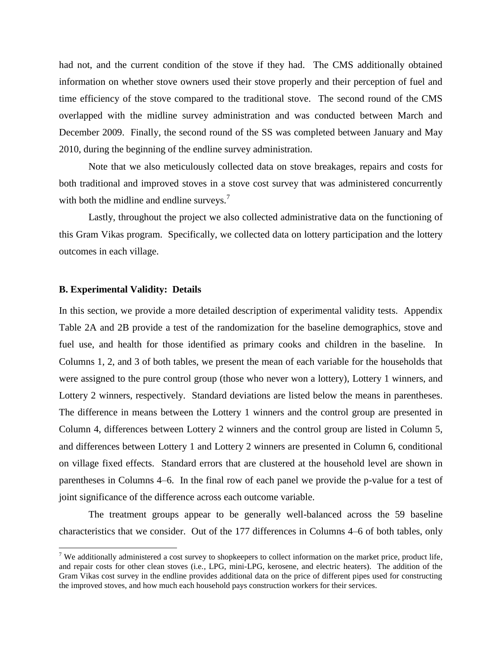had not, and the current condition of the stove if they had. The CMS additionally obtained information on whether stove owners used their stove properly and their perception of fuel and time efficiency of the stove compared to the traditional stove. The second round of the CMS overlapped with the midline survey administration and was conducted between March and December 2009. Finally, the second round of the SS was completed between January and May 2010, during the beginning of the endline survey administration.

Note that we also meticulously collected data on stove breakages, repairs and costs for both traditional and improved stoves in a stove cost survey that was administered concurrently with both the midline and endline surveys.<sup>7</sup>

Lastly, throughout the project we also collected administrative data on the functioning of this Gram Vikas program. Specifically, we collected data on lottery participation and the lottery outcomes in each village.

## **B. Experimental Validity: Details**

 $\overline{\phantom{a}}$ 

In this section, we provide a more detailed description of experimental validity tests. Appendix Table 2A and 2B provide a test of the randomization for the baseline demographics, stove and fuel use, and health for those identified as primary cooks and children in the baseline. In Columns 1, 2, and 3 of both tables, we present the mean of each variable for the households that were assigned to the pure control group (those who never won a lottery), Lottery 1 winners, and Lottery 2 winners, respectively. Standard deviations are listed below the means in parentheses. The difference in means between the Lottery 1 winners and the control group are presented in Column 4, differences between Lottery 2 winners and the control group are listed in Column 5, and differences between Lottery 1 and Lottery 2 winners are presented in Column 6, conditional on village fixed effects. Standard errors that are clustered at the household level are shown in parentheses in Columns 4–6. In the final row of each panel we provide the p-value for a test of joint significance of the difference across each outcome variable.

The treatment groups appear to be generally well-balanced across the 59 baseline characteristics that we consider. Out of the 177 differences in Columns 4–6 of both tables, only

<sup>&</sup>lt;sup>7</sup> We additionally administered a cost survey to shopkeepers to collect information on the market price, product life, and repair costs for other clean stoves (i.e., LPG, mini-LPG, kerosene, and electric heaters). The addition of the Gram Vikas cost survey in the endline provides additional data on the price of different pipes used for constructing the improved stoves, and how much each household pays construction workers for their services.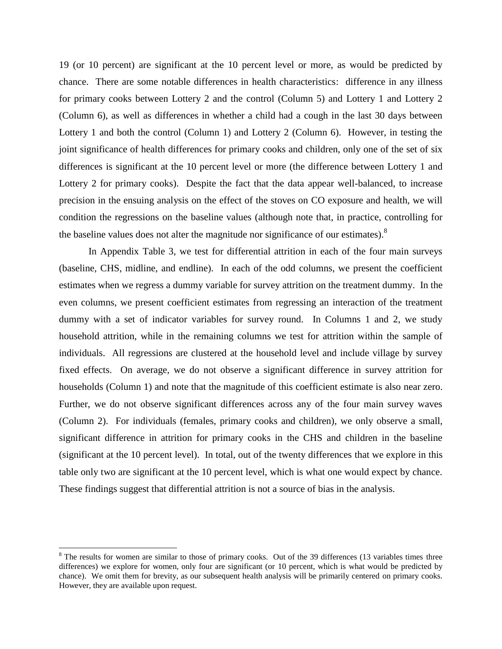19 (or 10 percent) are significant at the 10 percent level or more, as would be predicted by chance. There are some notable differences in health characteristics: difference in any illness for primary cooks between Lottery 2 and the control (Column 5) and Lottery 1 and Lottery 2 (Column 6), as well as differences in whether a child had a cough in the last 30 days between Lottery 1 and both the control (Column 1) and Lottery 2 (Column 6). However, in testing the joint significance of health differences for primary cooks and children, only one of the set of six differences is significant at the 10 percent level or more (the difference between Lottery 1 and Lottery 2 for primary cooks). Despite the fact that the data appear well-balanced, to increase precision in the ensuing analysis on the effect of the stoves on CO exposure and health, we will condition the regressions on the baseline values (although note that, in practice, controlling for the baseline values does not alter the magnitude nor significance of our estimates). $^{8}$ 

In Appendix Table 3, we test for differential attrition in each of the four main surveys (baseline, CHS, midline, and endline). In each of the odd columns, we present the coefficient estimates when we regress a dummy variable for survey attrition on the treatment dummy. In the even columns, we present coefficient estimates from regressing an interaction of the treatment dummy with a set of indicator variables for survey round. In Columns 1 and 2, we study household attrition, while in the remaining columns we test for attrition within the sample of individuals. All regressions are clustered at the household level and include village by survey fixed effects. On average, we do not observe a significant difference in survey attrition for households (Column 1) and note that the magnitude of this coefficient estimate is also near zero. Further, we do not observe significant differences across any of the four main survey waves (Column 2). For individuals (females, primary cooks and children), we only observe a small, significant difference in attrition for primary cooks in the CHS and children in the baseline (significant at the 10 percent level). In total, out of the twenty differences that we explore in this table only two are significant at the 10 percent level, which is what one would expect by chance. These findings suggest that differential attrition is not a source of bias in the analysis.

 $\overline{\phantom{a}}$ 

 $8$  The results for women are similar to those of primary cooks. Out of the 39 differences (13 variables times three differences) we explore for women, only four are significant (or 10 percent, which is what would be predicted by chance). We omit them for brevity, as our subsequent health analysis will be primarily centered on primary cooks. However, they are available upon request.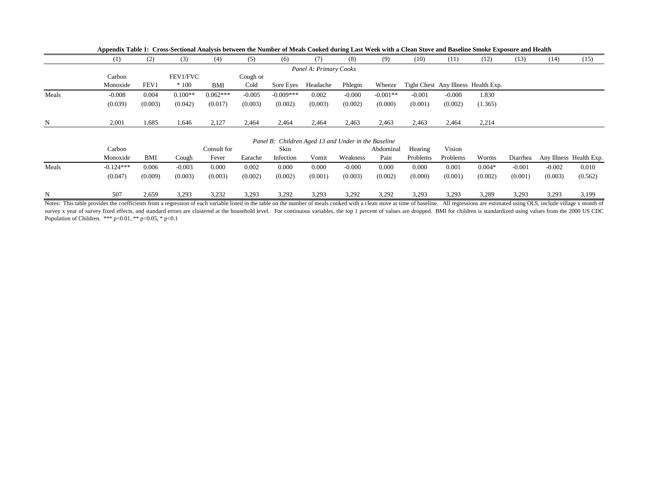|                        |          | (2)     | (3)       | (4)        | (5)      | (6)         | (7       | (8)      | (9)        | (10)     | (11)     | (12)                                | (13) | (14) | (15) |
|------------------------|----------|---------|-----------|------------|----------|-------------|----------|----------|------------|----------|----------|-------------------------------------|------|------|------|
| Panel A: Primary Cooks |          |         |           |            |          |             |          |          |            |          |          |                                     |      |      |      |
|                        | Carbon   |         | FEV1/FVC  |            | Cough or |             |          |          |            |          |          |                                     |      |      |      |
|                        | Monoxide | FEV1    | $*100$    | BMI        | Cold     | Sore Eves   | Headache | Phlegm   | Wheeze     |          |          | Tight Chest Any Illness Health Exp. |      |      |      |
| Meals                  | $-0.008$ | 0.004   | $0.100**$ | $0.062***$ | $-0.005$ | $-0.009***$ | 0.002    | $-0.000$ | $-0.001**$ | $-0.001$ | $-0.000$ | 1.830                               |      |      |      |
|                        | (0.039)  | (0.003) | (0.042)   | (0.017)    | (0.003)  | (0.002)     | (0.003)  | (0.002)  | (0.000)    | (0.001)  | (0.002)  | (1.365)                             |      |      |      |
|                        |          |         |           |            |          |             |          |          |            |          |          |                                     |      |      |      |
| N                      | 2,001    | 1,685   | 1,646     | 2,127      | 2,464    | 2,464       | 2,464    | 2,463    | 2,463      | 2,463    | 2,464    | 2,214                               |      |      |      |

**Appendix Table 1: Cross-Sectional Analysis between the Number of Meals Cooked during Last Week with a Clean Stove and Baseline Smoke Exposure and Health**

#### *Panel B: Children Aged 13 and Under in the Baseline*

|       | Carbon      |         |          | Consult for |         | Skin      |         |          | Abdominal | Hearing  | Vision   |          |          |          |                         |
|-------|-------------|---------|----------|-------------|---------|-----------|---------|----------|-----------|----------|----------|----------|----------|----------|-------------------------|
|       | Monoxide    | BMI     | Cough    | Fever       | Earache | Infection | Vomit   | Weakness | Pain      | Problems | Problems | Worms    | Diarrhea |          | Any Illness Health Exp. |
| Meals | $-0.124***$ | 0.006   | $-0.003$ | 0.000       | 0.002   | 0.000     | 0.000   | $-0.000$ | 0.000     | 0.000    | 0.001    | $0.004*$ | $-0.001$ | $-0.002$ | 0.010                   |
|       | (0.047)     | (0.009) | (0.003)  | (0.003)     | (0.002) | (0.002)   | (0.001) | (0.003)  | (0.002)   | (0.000)  | (0.001)  | (0.002)  | (0.001)  | (0.003)  | (0.562)                 |
|       | 507         | 2,659   | 3,293    | 3,232       | 3,293   | 3,292     | 3,293   | 3,292    | 3.292     | 3,293    | 3,293    | 3,289    | 3,293    | 3,293    | 3,199                   |

Notes: This table provides the coefficients from a regression of each variable listed in the table on the number of meals cooked with a clean stove at time of baseline. All regressions are estimated using OLS, include vill survey x year of survey fixed effects, and standard errors are clustered at the household level. For continuous variables, the top 1 percent of values are dropped. BMI for children is standardized using values from the 200 Population of Children. \*\*\* p<0.01, \*\* p<0.05, \* p<0.1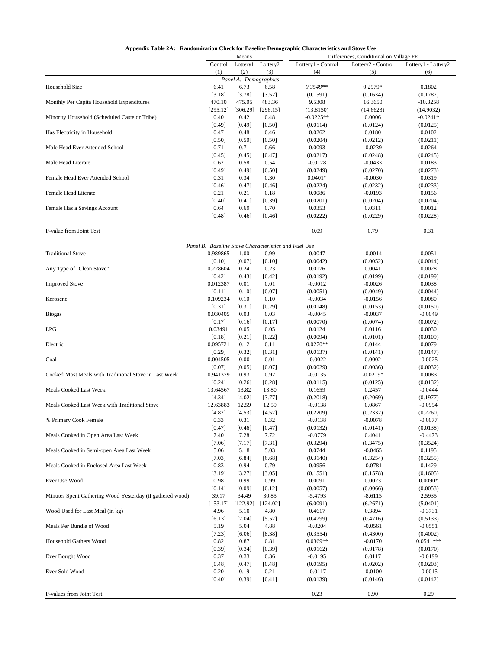| Appendix Table 2A: Randomization Check for Baseline Demographic Characteristics and Stove Use |                                                      |                               |                |                    |                                        |                     |
|-----------------------------------------------------------------------------------------------|------------------------------------------------------|-------------------------------|----------------|--------------------|----------------------------------------|---------------------|
|                                                                                               |                                                      | Means                         |                |                    | Differences, Conditional on Village FE |                     |
|                                                                                               | Control                                              | Lottery1                      | Lottery2       | Lottery1 - Control | Lottery <sub>2</sub> - Control         | Lottery1 - Lottery2 |
|                                                                                               | (1)                                                  | (2)                           | (3)            | (4)                | (5)                                    | (6)                 |
| Household Size                                                                                |                                                      | Panel A: Demographics<br>6.73 |                | $0.3548**$         | 0.2979*                                | 0.1802              |
|                                                                                               | 6.41<br>[3.18]                                       | [3.78]                        | 6.58<br>[3.52] | (0.1591)           | (0.1634)                               | (0.1787)            |
| Monthly Per Capita Household Expenditures                                                     | 470.10                                               | 475.05                        | 483.36         | 9.5308             | 16.3650                                | $-10.3258$          |
|                                                                                               | [295.12]                                             | [306.29]                      | [296.15]       | (13.8150)          | (14.6623)                              | (14.9032)           |
| Minority Household (Scheduled Caste or Tribe)                                                 | 0.40                                                 | 0.42                          | 0.48           | $-0.0225**$        | 0.0006                                 | $-0.0241*$          |
|                                                                                               | [0.49]                                               | [0.49]                        | [0.50]         | (0.0114)           | (0.0124)                               | (0.0125)            |
| Has Electricity in Household                                                                  | 0.47                                                 | 0.48                          | 0.46           | 0.0262             | 0.0180                                 | 0.0102              |
|                                                                                               | [0.50]                                               | [0.50]                        | [0.50]         | (0.0204)           | (0.0212)                               | (0.0211)            |
| Male Head Ever Attended School                                                                | 0.71                                                 | 0.71                          | 0.66           | 0.0093             | $-0.0239$                              | 0.0264              |
|                                                                                               | [0.45]                                               | [0.45]                        | [0.47]         | (0.0217)           | (0.0248)                               | (0.0245)            |
| Male Head Literate                                                                            | 0.62                                                 | 0.58                          | 0.54           | $-0.0178$          | $-0.0433$                              | 0.0183              |
|                                                                                               | [0.49]                                               | [0.49]                        | [0.50]         | (0.0249)           | (0.0270)                               | (0.0273)            |
| Female Head Ever Attended School                                                              | 0.31                                                 | 0.34                          | 0.30           | $0.0401*$          | $-0.0030$                              | 0.0319              |
|                                                                                               | [0.46]                                               | [0.47]                        | [0.46]         | (0.0224)           | (0.0232)                               | (0.0233)            |
| Female Head Literate                                                                          | 0.21                                                 | 0.21                          | 0.18           | 0.0086             | $-0.0193$                              | 0.0156              |
|                                                                                               | [0.40]                                               | $[0.41]$                      | [0.39]         | (0.0201)           | (0.0204)                               | (0.0204)            |
| Female Has a Savings Account                                                                  | 0.64                                                 | 0.69                          | 0.70           | 0.0353             | 0.0311                                 | 0.0012              |
|                                                                                               | [0.48]                                               | [0.46]                        | [0.46]         | (0.0222)           | (0.0229)                               | (0.0228)            |
|                                                                                               |                                                      |                               |                |                    |                                        |                     |
| P-value from Joint Test                                                                       |                                                      |                               |                | 0.09               | 0.79                                   | 0.31                |
|                                                                                               | Panel B: Baseline Stove Characteristics and Fuel Use |                               |                |                    |                                        |                     |
| <b>Traditional Stove</b>                                                                      | 0.989865                                             | 1.00                          | 0.99           | 0.0047             | $-0.0014$                              | 0.0051              |
|                                                                                               | [0.10]                                               | [0.07]                        | [0.10]         | (0.0042)           | (0.0052)                               | (0.0044)            |
| Any Type of "Clean Stove"                                                                     | 0.228604                                             | 0.24                          | 0.23           | 0.0176             | 0.0041                                 | 0.0028              |
|                                                                                               | [0.42]                                               | [0.43]                        | $[0.42]$       | (0.0192)           | (0.0199)                               | (0.0199)            |
| <b>Improved Stove</b>                                                                         | 0.012387                                             | 0.01                          | 0.01           | $-0.0012$          | $-0.0026$                              | 0.0038              |
|                                                                                               | [0.11]                                               | [0.10]                        | [0.07]         | (0.0051)           | (0.0049)                               | (0.0044)            |
| Kerosene                                                                                      | 0.109234                                             | 0.10                          | 0.10           | $-0.0034$          | $-0.0156$                              | 0.0080              |
|                                                                                               | [0.31]                                               | [0.31]                        | [0.29]         | (0.0148)           | (0.0153)                               | (0.0150)            |
| <b>Biogas</b>                                                                                 | 0.030405                                             | 0.03                          | 0.03           | $-0.0045$          | $-0.0037$                              | $-0.0049$           |
|                                                                                               | [0.17]                                               | [0.16]                        | [0.17]         | (0.0070)           | (0.0074)                               | (0.0072)            |
| <b>LPG</b>                                                                                    | 0.03491                                              | 0.05                          | 0.05           | 0.0124             | 0.0116                                 | 0.0030              |
|                                                                                               | [0.18]                                               | [0.21]                        | [0.22]         | (0.0094)           | (0.0101)                               | (0.0109)            |
| Electric                                                                                      | 0.095721                                             | 0.12                          | 0.11           | $0.0270**$         | 0.0144                                 | 0.0079              |
|                                                                                               | $[0.29]$                                             | $[0.32]$                      | [0.31]         | (0.0137)           | (0.0141)                               | (0.0147)            |
| Coal                                                                                          | 0.004505                                             | 0.00                          | 0.01           | $-0.0022$          | 0.0002                                 | $-0.0025$           |
|                                                                                               | [0.07]                                               | [0.05]                        | [0.07]         | (0.0029)           | (0.0036)                               | (0.0032)            |
| Cooked Most Meals with Traditional Stove in Last Week                                         | 0.941379                                             | 0.93                          | 0.92           | $-0.0135$          | $-0.0219*$                             | 0.0083              |
|                                                                                               | [0.24]                                               | [0.26]                        | [0.28]         | (0.0115)           | (0.0125)                               | (0.0132)            |
| <b>Meals Cooked Last Week</b>                                                                 | 13.64567                                             | 13.82                         | 13.80          | 0.1659             | 0.2457                                 | $-0.0444$           |
|                                                                                               | [4.34]                                               | [4.02]                        | [3.77]         | (0.2018)           | (0.2069)                               | (0.1977)            |
| Meals Cooked Last Week with Traditional Stove                                                 | 12.63883                                             | 12.59                         | 12.59          | $-0.0138$          | 0.0867                                 | $-0.0994$           |
|                                                                                               | [4.82]                                               | [4.53]                        | [4.57]         | (0.2209)           | (0.2332)                               | (0.2260)            |
| % Primary Cook Female                                                                         | 0.33                                                 | 0.31                          | 0.32           | $-0.0138$          | $-0.0078$                              | $-0.0077$           |
|                                                                                               | [0.47]                                               | $[0.46]$                      | [0.47]         | (0.0132)           | (0.0141)                               | (0.0138)            |
| Meals Cooked in Open Area Last Week                                                           | 7.40                                                 | 7.28                          | 7.72           | $-0.0779$          | 0.4041                                 | $-0.4473$           |
|                                                                                               | [7.06]                                               | [7.17]                        | [7.31]         | (0.3294)           | (0.3475)                               | (0.3524)            |
| Meals Cooked in Semi-open Area Last Week                                                      | 5.06                                                 | 5.18                          | 5.03           | 0.0744             | $-0.0465$                              | 0.1195              |
|                                                                                               | [7.03]                                               | [6.84]                        | [6.68]         | (0.3140)           | (0.3254)                               | (0.3255)            |
| Meals Cooked in Enclosed Area Last Week                                                       | 0.83                                                 | 0.94                          | 0.79           | 0.0956             | $-0.0781$                              | 0.1429              |
|                                                                                               | [3.19]                                               | [3.27]                        | [3.05]         | (0.1551)           | (0.1578)                               | (0.1605)            |
| Ever Use Wood                                                                                 | 0.98                                                 | 0.99                          | 0.99           | 0.0091             | 0.0023                                 | $0.0090*$           |
|                                                                                               | [0.14]                                               | [0.09]                        | [0.12]         | (0.0057)           | (0.0066)                               | (0.0053)            |
| Minutes Spent Gathering Wood Yesterday (if gathered wood)                                     | 39.17                                                | 34.49                         | 30.85          | $-5.4793$          | $-8.6115$                              | 2.5935              |
|                                                                                               | [153.17]                                             | [122.92]                      | [124.02]       | (6.0091)           | (6.2671)                               | (5.0401)            |
| Wood Used for Last Meal (in kg)                                                               | 4.96                                                 | 5.10                          | 4.80           | 0.4617             | 0.3894                                 | $-0.3731$           |
|                                                                                               | $[6.13]$                                             | [7.04]                        | [5.57]         | (0.4799)           | (0.4716)                               | (0.5133)            |
| Meals Per Bundle of Wood                                                                      | 5.19                                                 | 5.04                          | 4.88           | $-0.0204$          | $-0.0561$                              | $-0.0551$           |
|                                                                                               | [7.23]                                               | $[6.06]$                      | [8.38]         | (0.3554)           | (0.4300)                               | (0.4002)            |
| Household Gathers Wood                                                                        | 0.82                                                 | 0.87                          | 0.81           | $0.0369**$         | $-0.0170$                              | $0.0541***$         |
|                                                                                               | [0.39]                                               | [0.34]                        | [0.39]         | (0.0162)           | (0.0178)                               | (0.0170)            |
| Ever Bought Wood                                                                              | 0.37                                                 | 0.33                          | 0.36           | $-0.0195$          | 0.0117                                 | $-0.0199$           |
|                                                                                               | [0.48]                                               | $[0.47]$                      | [0.48]         | (0.0195)           | (0.0202)                               | (0.0203)            |
| Ever Sold Wood                                                                                | 0.20                                                 | 0.19                          | 0.21           | $-0.0117$          | $-0.0100$                              | $-0.0015$           |
|                                                                                               | [0.40]                                               | [0.39]                        | $[0.41]$       | (0.0139)           | (0.0146)                               | (0.0142)            |
|                                                                                               |                                                      |                               |                |                    |                                        |                     |
| P-values from Joint Test                                                                      |                                                      |                               |                | 0.23               | 0.90                                   | 0.29                |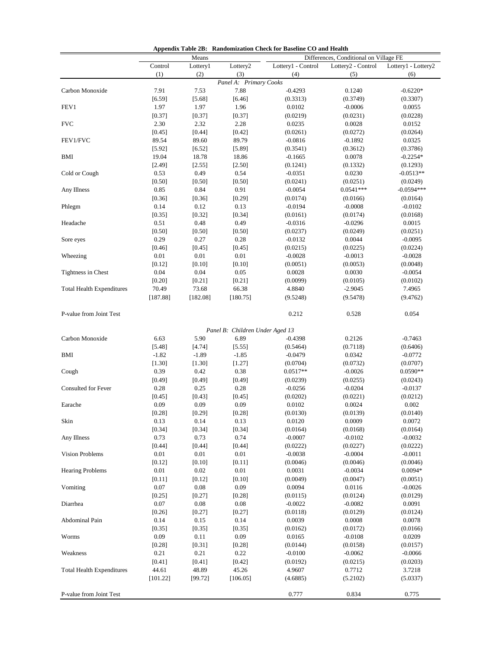| Appendix Table 2B: Randomization Check for Baseline CO and Health |  |  |  |
|-------------------------------------------------------------------|--|--|--|
|-------------------------------------------------------------------|--|--|--|

|                                  |                | Means          |                                 | Differences, Conditional on Village FE |                         |                          |  |  |  |
|----------------------------------|----------------|----------------|---------------------------------|----------------------------------------|-------------------------|--------------------------|--|--|--|
|                                  | Control        | Lottery1       | Lottery2                        | Lottery1 - Control                     | Lottery2 - Control      | Lottery1 - Lottery2      |  |  |  |
|                                  | (1)            | (2)            | (3)                             | (4)                                    | (5)                     | (6)                      |  |  |  |
|                                  |                |                | Panel A: Primary Cooks          |                                        |                         |                          |  |  |  |
| Carbon Monoxide                  | 7.91           | 7.53           | 7.88                            | $-0.4293$                              | 0.1240                  | $-0.6220*$               |  |  |  |
|                                  | [6.59]         | [5.68]         | [6.46]                          | (0.3313)                               | (0.3749)                | (0.3307)                 |  |  |  |
| FEV1                             | 1.97           | 1.97           | 1.96                            | 0.0102                                 | $-0.0006$               | 0.0055                   |  |  |  |
|                                  | [0.37]         | [0.37]         | [0.37]                          | (0.0219)                               | (0.0231)                | (0.0228)                 |  |  |  |
| <b>FVC</b>                       | 2.30           | 2.32           | 2.28                            | 0.0235                                 | 0.0028                  | 0.0152                   |  |  |  |
|                                  | [0.45]         | [0.44]         | [0.42]                          | (0.0261)                               | (0.0272)                | (0.0264)                 |  |  |  |
| FEV1/FVC                         | 89.54          | 89.60          | 89.79                           | $-0.0816$                              | $-0.1892$               | 0.0325                   |  |  |  |
|                                  | [5.92]         | [6.52]         | [5.89]                          | (0.3541)                               | (0.3612)                | (0.3786)                 |  |  |  |
| <b>BMI</b>                       | 19.04          | 18.78          | 18.86                           | $-0.1665$                              | 0.0078                  | $-0.2254*$               |  |  |  |
|                                  | [2.49]         | [2.55]         | [2.50]                          | (0.1241)                               | (0.1332)                | (0.1293)                 |  |  |  |
| Cold or Cough                    | 0.53           | 0.49           | 0.54                            | $-0.0351$                              | 0.0230                  | $-0.0513**$              |  |  |  |
|                                  | [0.50]<br>0.85 | [0.50]<br>0.84 | [0.50]<br>0.91                  | (0.0241)                               | (0.0251)<br>$0.0541***$ | (0.0249)<br>$-0.0594***$ |  |  |  |
| Any Illness                      |                |                |                                 | $-0.0054$                              |                         |                          |  |  |  |
| Phlegm                           | [0.36]<br>0.14 | [0.36]<br>0.12 | [0.29]<br>0.13                  | (0.0174)<br>$-0.0194$                  | (0.0166)<br>$-0.0008$   | (0.0164)<br>$-0.0102$    |  |  |  |
|                                  | [0.35]         | [0.32]         | [0.34]                          | (0.0161)                               | (0.0174)                | (0.0168)                 |  |  |  |
| Headache                         | 0.51           | 0.48           | 0.49                            | $-0.0316$                              | $-0.0296$               | 0.0015                   |  |  |  |
|                                  | [0.50]         | [0.50]         | [0.50]                          | (0.0237)                               | (0.0249)                | (0.0251)                 |  |  |  |
| Sore eyes                        | 0.29           | 0.27           | 0.28                            | $-0.0132$                              | 0.0044                  | $-0.0095$                |  |  |  |
|                                  | [0.46]         | [0.45]         | [0.45]                          | (0.0215)                               | (0.0225)                | (0.0224)                 |  |  |  |
| Wheezing                         | 0.01           | 0.01           | 0.01                            | $-0.0028$                              | $-0.0013$               | $-0.0028$                |  |  |  |
|                                  | [0.12]         | [0.10]         | [0.10]                          | (0.0051)                               | (0.0053)                | (0.0048)                 |  |  |  |
| Tightness in Chest               | 0.04           | 0.04           | 0.05                            | 0.0028                                 | 0.0030                  | $-0.0054$                |  |  |  |
|                                  | [0.20]         | [0.21]         | [0.21]                          | (0.0099)                               | (0.0105)                | (0.0102)                 |  |  |  |
| <b>Total Health Expenditures</b> | 70.49          | 73.68          | 66.38                           | 4.8840                                 | $-2.9045$               | 7.4965                   |  |  |  |
|                                  | [187.88]       | [182.08]       | [180.75]                        | (9.5248)                               | (9.5478)                | (9.4762)                 |  |  |  |
|                                  |                |                |                                 |                                        |                         |                          |  |  |  |
| P-value from Joint Test          |                |                |                                 | 0.212                                  | 0.528                   | 0.054                    |  |  |  |
|                                  |                |                |                                 |                                        |                         |                          |  |  |  |
|                                  |                |                | Panel B: Children Under Aged 13 |                                        |                         |                          |  |  |  |
| Carbon Monoxide                  | 6.63           | 5.90           | 6.89                            | $-0.4398$                              | 0.2126                  | $-0.7463$                |  |  |  |
|                                  | [5.48]         | [4.74]         | [5.55]                          | (0.5464)                               | (0.7118)                | (0.6406)                 |  |  |  |
| <b>BMI</b>                       | $-1.82$        | $-1.89$        | $-1.85$                         | $-0.0479$                              | 0.0342                  | $-0.0772$                |  |  |  |
|                                  | [1.30]         | [1.30]         | [1.27]                          | (0.0704)                               | (0.0732)                | (0.0707)                 |  |  |  |
| Cough                            | 0.39           | 0.42           | 0.38                            | $0.0517**$                             | $-0.0026$               | $0.0590**$               |  |  |  |
|                                  | [0.49]         | [0.49]         | [0.49]                          | (0.0239)                               | (0.0255)                | (0.0243)                 |  |  |  |
| Consulted for Fever              | 0.28           | 0.25           | 0.28                            | $-0.0256$                              | $-0.0204$               | $-0.0137$                |  |  |  |
|                                  | [0.45]         | [0.43]         | [0.45]                          | (0.0202)                               | (0.0221)                | (0.0212)                 |  |  |  |
| Earache                          | 0.09           | 0.09           | 0.09                            | 0.0102                                 | 0.0024                  | 0.002                    |  |  |  |
| Skin                             | [0.28]         | [0.29]         | [0.28]                          | (0.0130)                               | (0.0139)                | (0.0140)                 |  |  |  |
|                                  | 0.13<br>[0.34] | 0.14<br>[0.34] | 0.13<br>[0.34]                  | 0.0120<br>(0.0164)                     | 0.0009<br>(0.0168)      | 0.0072<br>(0.0164)       |  |  |  |
| Any Illness                      | 0.73           | 0.73           | 0.74                            | $-0.0007$                              | $-0.0102$               | $-0.0032$                |  |  |  |
|                                  | [0.44]         | [0.44]         | [0.44]                          | (0.0222)                               | (0.0227)                | (0.0222)                 |  |  |  |
| Vision Problems                  | 0.01           | 0.01           | 0.01                            | $-0.0038$                              | $-0.0004$               | $-0.0011$                |  |  |  |
|                                  | [0.12]         | [0.10]         | [0.11]                          | (0.0046)                               | (0.0046)                | (0.0046)                 |  |  |  |
| <b>Hearing Problems</b>          | 0.01           | 0.02           | 0.01                            | 0.0031                                 | $-0.0034$               | $0.0094*$                |  |  |  |
|                                  | [0.11]         | [0.12]         | [0.10]                          | (0.0049)                               | (0.0047)                | (0.0051)                 |  |  |  |
| Vomiting                         | 0.07           | $0.08\,$       | 0.09                            | 0.0094                                 | 0.0116                  | $-0.0026$                |  |  |  |
|                                  | $[0.25]$       | $[0.27]$       | $[0.28]$                        | (0.0115)                               | (0.0124)                | (0.0129)                 |  |  |  |
| Diarrhea                         | 0.07           | 0.08           | 0.08                            | $-0.0022$                              | $-0.0082$               | 0.0091                   |  |  |  |
|                                  | [0.26]         | [0.27]         | [0.27]                          | (0.0118)                               | (0.0129)                | (0.0124)                 |  |  |  |
| Abdominal Pain                   | 0.14           | 0.15           | 0.14                            | 0.0039                                 | 0.0008                  | 0.0078                   |  |  |  |
|                                  | [0.35]         | [0.35]         | [0.35]                          | (0.0162)                               | (0.0172)                | (0.0166)                 |  |  |  |
| Worms                            | 0.09           | 0.11           | 0.09                            | 0.0165                                 | $-0.0108$               | 0.0209                   |  |  |  |
|                                  | [0.28]         | [0.31]         | [0.28]                          | (0.0144)                               | (0.0158)                | (0.0157)                 |  |  |  |
| Weakness                         | 0.21           | 0.21           | 0.22                            | $-0.0100$                              | $-0.0062$               | $-0.0066$                |  |  |  |
|                                  | [0.41]         | [0.41]         | [0.42]                          | (0.0192)                               | (0.0215)                | (0.0203)                 |  |  |  |
| <b>Total Health Expenditures</b> | 44.61          | 48.89          | 45.26                           | 4.9607                                 | 0.7712                  | 3.7218                   |  |  |  |
|                                  | [101.22]       | [99.72]        | [106.05]                        | (4.6885)                               | (5.2102)                | (5.0337)                 |  |  |  |
|                                  |                |                |                                 |                                        |                         |                          |  |  |  |
| P-value from Joint Test          |                |                |                                 | 0.777                                  | 0.834                   | 0.775                    |  |  |  |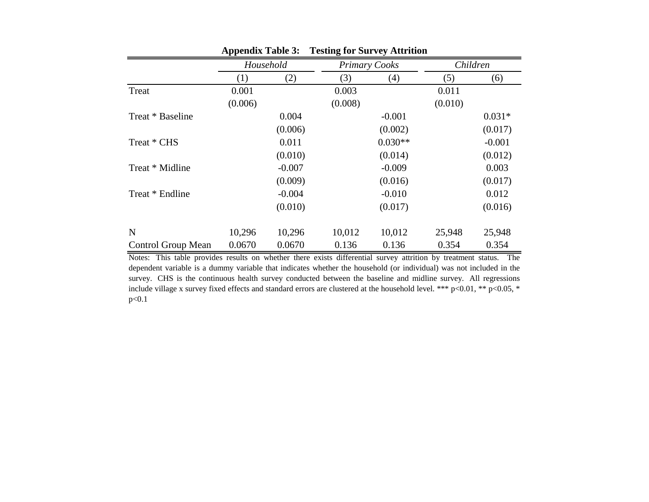|                    | . .     |           | o       |                      |         |          |
|--------------------|---------|-----------|---------|----------------------|---------|----------|
|                    |         | Household |         | <b>Primary Cooks</b> |         | Children |
|                    | (1)     | (2)       | (3)     | (4)                  | (5)     | (6)      |
| Treat              | 0.001   |           | 0.003   |                      | 0.011   |          |
|                    | (0.006) |           | (0.008) |                      | (0.010) |          |
| Treat * Baseline   |         | 0.004     |         | $-0.001$             |         | $0.031*$ |
|                    |         | (0.006)   |         | (0.002)              |         | (0.017)  |
| Treat * CHS        |         | 0.011     |         | $0.030**$            |         | $-0.001$ |
|                    |         | (0.010)   |         | (0.014)              |         | (0.012)  |
| Treat * Midline    |         | $-0.007$  |         | $-0.009$             |         | 0.003    |
|                    |         | (0.009)   |         | (0.016)              |         | (0.017)  |
| Treat * Endline    |         | $-0.004$  |         | $-0.010$             |         | 0.012    |
|                    |         | (0.010)   |         | (0.017)              |         | (0.016)  |
|                    |         |           |         |                      |         |          |
| N                  | 10,296  | 10,296    | 10,012  | 10,012               | 25,948  | 25,948   |
| Control Group Mean | 0.0670  | 0.0670    | 0.136   | 0.136                | 0.354   | 0.354    |

**Appendix Table 3: Testing for Survey Attrition**

Notes: This table provides results on whether there exists differential survey attrition by treatment status. The dependent variable is a dummy variable that indicates whether the household (or individual) was not included in the survey. CHS is the continuous health survey conducted between the baseline and midline survey. All regressions include village x survey fixed effects and standard errors are clustered at the household level. \*\*\* p<0.01, \*\* p<0.05, \* p<0.1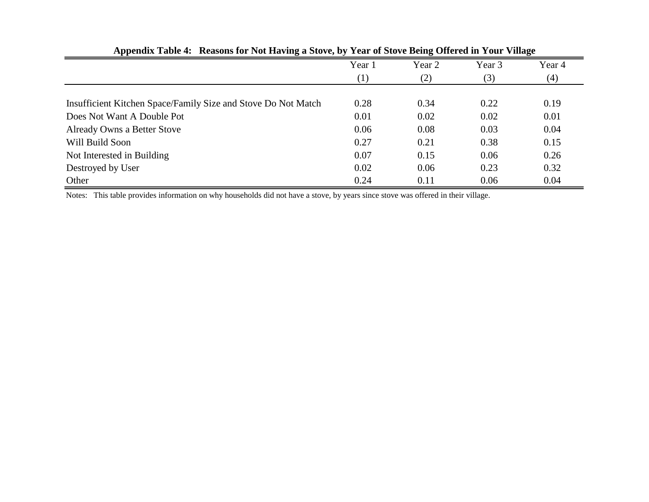|                                                               | Year 1 | Year 2 | Year 3 | Year 4 |
|---------------------------------------------------------------|--------|--------|--------|--------|
|                                                               | (1)    | (2)    | (3)    | (4)    |
|                                                               |        |        |        |        |
| Insufficient Kitchen Space/Family Size and Stove Do Not Match | 0.28   | 0.34   | 0.22   | 0.19   |
| Does Not Want A Double Pot                                    | 0.01   | 0.02   | 0.02   | 0.01   |
| <b>Already Owns a Better Stove</b>                            | 0.06   | 0.08   | 0.03   | 0.04   |
| Will Build Soon                                               | 0.27   | 0.21   | 0.38   | 0.15   |
| Not Interested in Building                                    | 0.07   | 0.15   | 0.06   | 0.26   |
| Destroyed by User                                             | 0.02   | 0.06   | 0.23   | 0.32   |
| Other                                                         | 0.24   | 0.11   | 0.06   | 0.04   |

**Appendix Table 4: Reasons for Not Having a Stove, by Year of Stove Being Offered in Your Village**

Notes: This table provides information on why households did not have a stove, by years since stove was offered in their village.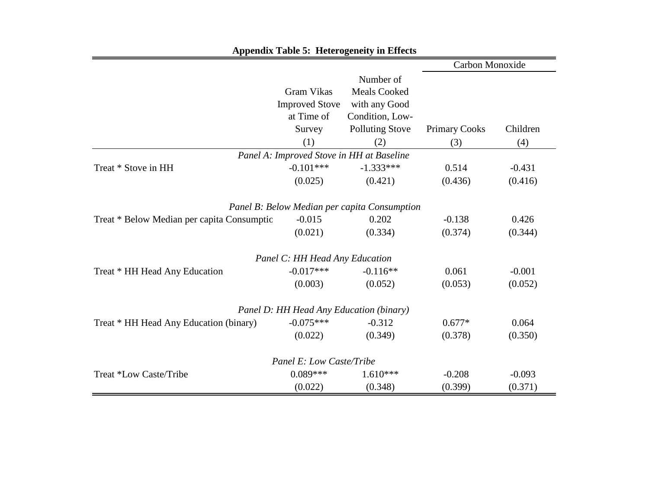|                                            |                                                                           | <b>Appendix Table 5: Heterogeneity in Effects</b>                                                     |                             |                 |
|--------------------------------------------|---------------------------------------------------------------------------|-------------------------------------------------------------------------------------------------------|-----------------------------|-----------------|
|                                            |                                                                           |                                                                                                       | Carbon Monoxide             |                 |
|                                            | <b>Gram Vikas</b><br><b>Improved Stove</b><br>at Time of<br>Survey<br>(1) | Number of<br><b>Meals Cooked</b><br>with any Good<br>Condition, Low-<br><b>Polluting Stove</b><br>(2) | <b>Primary Cooks</b><br>(3) | Children<br>(4) |
|                                            | Panel A: Improved Stove in HH at Baseline                                 |                                                                                                       |                             |                 |
| Treat * Stove in HH                        | $-0.101***$                                                               | $-1.333***$                                                                                           | 0.514                       | $-0.431$        |
|                                            | (0.025)                                                                   | (0.421)                                                                                               | (0.436)                     | (0.416)         |
|                                            |                                                                           | Panel B: Below Median per capita Consumption                                                          |                             |                 |
| Treat * Below Median per capita Consumptio | $-0.015$                                                                  | 0.202                                                                                                 | $-0.138$                    | 0.426           |
|                                            | (0.021)                                                                   | (0.334)                                                                                               | (0.374)                     | (0.344)         |
|                                            | Panel C: HH Head Any Education                                            |                                                                                                       |                             |                 |
| Treat * HH Head Any Education              | $-0.017***$                                                               | $-0.116**$                                                                                            | 0.061                       | $-0.001$        |
|                                            | (0.003)                                                                   | (0.052)                                                                                               | (0.053)                     | (0.052)         |
|                                            | Panel D: HH Head Any Education (binary)                                   |                                                                                                       |                             |                 |
| Treat * HH Head Any Education (binary)     | $-0.075***$                                                               | $-0.312$                                                                                              | $0.677*$                    | 0.064           |
|                                            | (0.022)                                                                   | (0.349)                                                                                               | (0.378)                     | (0.350)         |
|                                            | Panel E: Low Caste/Tribe                                                  |                                                                                                       |                             |                 |
| Treat *Low Caste/Tribe                     | $0.089***$                                                                | $1.610***$                                                                                            | $-0.208$                    | $-0.093$        |
|                                            | (0.022)                                                                   | (0.348)                                                                                               | (0.399)                     | (0.371)         |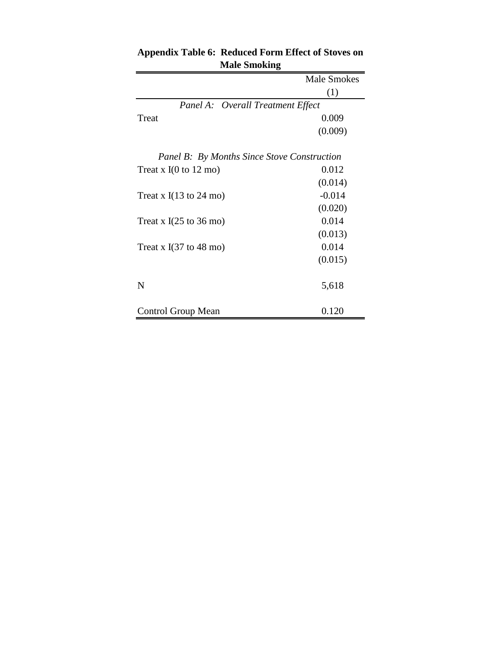|                                             | Male Smokes |
|---------------------------------------------|-------------|
|                                             | (1)         |
| Panel A: Overall Treatment Effect           |             |
| Treat                                       | 0.009       |
|                                             | (0.009)     |
| Panel B: By Months Since Stove Construction |             |
| Treat x $I(0 \text{ to } 12 \text{ mo})$    | 0.012       |
|                                             | (0.014)     |
| Treat x $I(13 \text{ to } 24 \text{ mo})$   | $-0.014$    |
|                                             | (0.020)     |
| Treat x $I(25 \text{ to } 36 \text{ mo})$   | 0.014       |
|                                             | (0.013)     |
| Treat x $I(37 \text{ to } 48 \text{ mo})$   | 0.014       |
|                                             | (0.015)     |
| N                                           | 5,618       |
| Control Group Mean                          | 0.120       |

# **Appendix Table 6: Reduced Form Effect of Stoves on Male Smoking**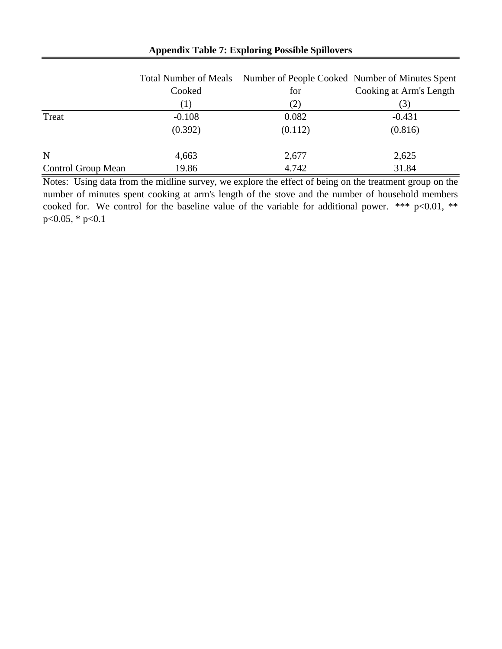|                           |          | Total Number of Meals Number of People Cooked Number of Minutes Spent |                         |
|---------------------------|----------|-----------------------------------------------------------------------|-------------------------|
|                           | Cooked   | for                                                                   | Cooking at Arm's Length |
|                           | Ð        | (2)                                                                   | 3)                      |
| Treat                     | $-0.108$ | 0.082                                                                 | $-0.431$                |
|                           | (0.392)  | (0.112)                                                               | (0.816)                 |
| N                         | 4,663    | 2,677                                                                 | 2,625                   |
| <b>Control Group Mean</b> | 19.86    | 4.742                                                                 | 31.84                   |

## **Appendix Table 7: Exploring Possible Spillovers**

Notes: Using data from the midline survey, we explore the effect of being on the treatment group on the number of minutes spent cooking at arm's length of the stove and the number of household members cooked for. We control for the baseline value of the variable for additional power. \*\*\* p<0.01, \*\* p<0.05, \* p<0.1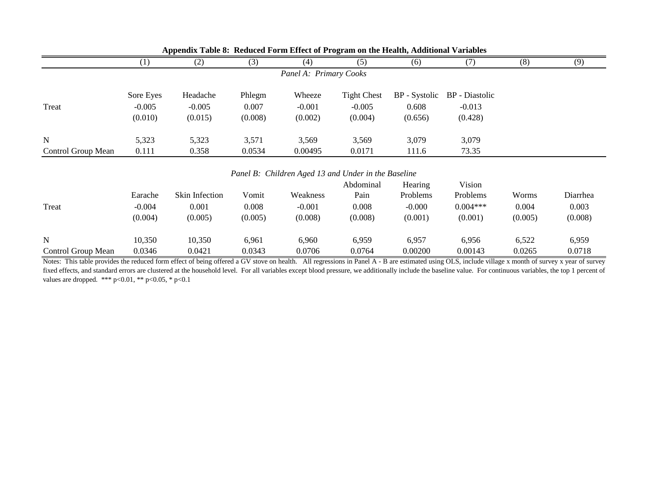|                    |           | . .            |         |                                                     |                    |               |                       |         |          |
|--------------------|-----------|----------------|---------|-----------------------------------------------------|--------------------|---------------|-----------------------|---------|----------|
|                    | (1)       | (2)            | (3)     | (4)                                                 | (5)                | (6)           | (7)                   | (8)     | (9)      |
|                    |           |                |         | Panel A: Primary Cooks                              |                    |               |                       |         |          |
|                    |           |                |         |                                                     |                    |               |                       |         |          |
|                    | Sore Eyes | Headache       | Phlegm  | Wheeze                                              | <b>Tight Chest</b> | BP - Systolic | <b>BP</b> - Diastolic |         |          |
| Treat              | $-0.005$  | $-0.005$       | 0.007   | $-0.001$                                            | $-0.005$           | 0.608         | $-0.013$              |         |          |
|                    | (0.010)   | (0.015)        | (0.008) | (0.002)                                             | (0.004)            | (0.656)       | (0.428)               |         |          |
| $\mathbf N$        | 5,323     | 5,323          | 3,571   | 3,569                                               | 3,569              | 3,079         | 3,079                 |         |          |
| Control Group Mean | 0.111     | 0.358          | 0.0534  | 0.00495                                             | 0.0171             | 111.6         | 73.35                 |         |          |
|                    |           |                |         |                                                     |                    |               |                       |         |          |
|                    |           |                |         | Panel B: Children Aged 13 and Under in the Baseline |                    |               |                       |         |          |
|                    |           |                |         |                                                     | Abdominal          | Hearing       | Vision                |         |          |
|                    | Earache   | Skin Infection | Vomit   | Weakness                                            | Pain               | Problems      | Problems              | Worms   | Diarrhea |
| Treat              | $-0.004$  | 0.001          | 0.008   | $-0.001$                                            | 0.008              | $-0.000$      | $0.004***$            | 0.004   | 0.003    |
|                    | (0.004)   | (0.005)        | (0.005) | (0.008)                                             | (0.008)            | (0.001)       | (0.001)               | (0.005) | (0.008)  |
| $\mathbf N$        | 10,350    | 10,350         | 6,961   | 6,960                                               | 6,959              | 6,957         | 6,956                 | 6,522   | 6,959    |
| Control Group Mean | 0.0346    | 0.0421         | 0.0343  | 0.0706                                              | 0.0764             | 0.00200       | 0.00143               | 0.0265  | 0.0718   |

**Appendix Table 8: Reduced Form Effect of Program on the Health, Additional Variables**

Notes: This table provides the reduced form effect of being offered a GV stove on health. All regressions in Panel A - B are estimated using OLS, include village x month of survey x year of survey fixed effects, and standard errors are clustered at the household level. For all variables except blood pressure, we additionally include the baseline value. For continuous variables, the top 1 percent of values are dropped. \*\*\* p<0.01, \*\* p<0.05, \* p<0.1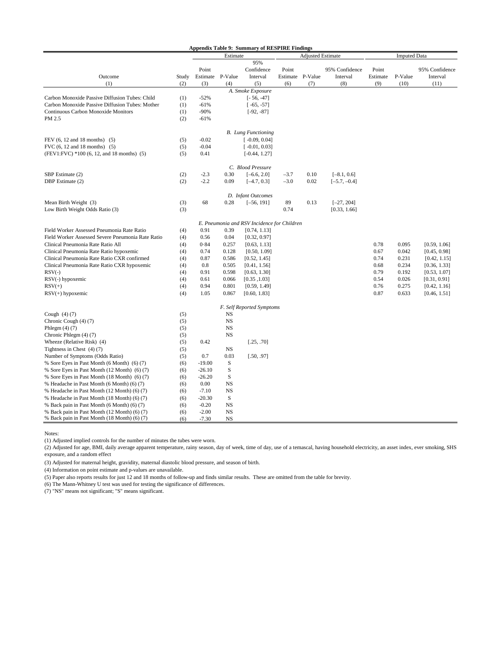|                                                    |                                      |                  |             | <b>Appendix Table 9: Summary of RESPIRE Findings</b> |        |                  |                |          |         |                     |
|----------------------------------------------------|--------------------------------------|------------------|-------------|------------------------------------------------------|--------|------------------|----------------|----------|---------|---------------------|
|                                                    | <b>Adjusted Estimate</b><br>Estimate |                  |             |                                                      |        |                  |                |          |         | <b>Imputed Data</b> |
|                                                    |                                      |                  |             | 95%                                                  |        |                  |                |          |         |                     |
|                                                    |                                      | Point            |             | Confidence                                           | Point  |                  | 95% Confidence | Point    |         | 95% Confidence      |
| Outcome                                            | Study                                | Estimate P-Value |             | Interval                                             |        | Estimate P-Value | Interval       | Estimate | P-Value | Interval            |
| (1)                                                | (2)                                  | (3)              | (4)         | (5)                                                  | (6)    | (7)              | (8)            | (9)      | (10)    | (11)                |
|                                                    |                                      |                  |             | A. Smoke Exposure                                    |        |                  |                |          |         |                     |
| Carbon Monoxide Passive Diffusion Tubes: Child     | (1)                                  | $-52%$           |             | $[-56, -47]$                                         |        |                  |                |          |         |                     |
| Carbon Monoxide Passive Diffusion Tubes: Mother    | (1)                                  | $-61%$           |             | $[-65, -57]$                                         |        |                  |                |          |         |                     |
| Continuous Carbon Monoxide Monitors                | (1)                                  | $-90%$           |             | $[-92, -87]$                                         |        |                  |                |          |         |                     |
| PM 2.5                                             | (2)                                  | $-61%$           |             |                                                      |        |                  |                |          |         |                     |
|                                                    |                                      |                  |             | <b>B.</b> Lung Functioning                           |        |                  |                |          |         |                     |
| FEV (6, 12 and 18 months) (5)                      | (5)                                  | $-0.02$          |             | $[-0.09, 0.04]$                                      |        |                  |                |          |         |                     |
| FVC $(6, 12 \text{ and } 18 \text{ months})$ $(5)$ | (5)                                  | $-0.04$          |             | $[-0.01, 0.03]$                                      |        |                  |                |          |         |                     |
| (FEV1:FVC) *100 (6, 12, and 18 months) (5)         | (5)                                  | 0.41             |             | $[-0.44, 1.27]$                                      |        |                  |                |          |         |                     |
|                                                    |                                      |                  |             |                                                      |        |                  |                |          |         |                     |
|                                                    |                                      |                  |             | C. Blood Pressure                                    |        |                  |                |          |         |                     |
| SBP Estimate (2)                                   | (2)                                  | $-2.3$           | 0.30        | $[-6.6, 2.0]$                                        | $-3.7$ | 0.10             | $[-8.1, 0.6]$  |          |         |                     |
| DBP Estimate (2)                                   | (2)                                  | $-2.2$           | 0.09        | $[-4.7, 0.3]$                                        | $-3.0$ | 0.02             | $[-5.7, -0.4]$ |          |         |                     |
|                                                    |                                      |                  |             | D. Infant Outcomes                                   |        |                  |                |          |         |                     |
| Mean Birth Weight (3)                              | (3)                                  | 68               | 0.28        | $[-56, 191]$                                         | 89     | 0.13             | $[-27, 204]$   |          |         |                     |
| Low Birth Weight Odds Ratio (3)                    | (3)                                  |                  |             |                                                      | 0.74   |                  | [0.33, 1.66]   |          |         |                     |
|                                                    |                                      |                  |             | E. Pneumonia and RSV Incidence for Children          |        |                  |                |          |         |                     |
| Field Worker Assessed Pneumonia Rate Ratio         | (4)                                  | 0.91             | 0.39        | [0.74, 1.13]                                         |        |                  |                |          |         |                     |
| Field Worker Assessed Severe Pneumonia Rate Ratio  |                                      |                  |             |                                                      |        |                  |                |          |         |                     |
|                                                    | (4)                                  | 0.56             | 0.04        | [0.32, 0.97]                                         |        |                  |                |          |         |                     |
| Clinical Pneumonia Rate Ratio All                  | (4)                                  | 0.84             | 0.257       | [0.63, 1.13]                                         |        |                  |                | 0.78     | 0.095   | [0.59, 1.06]        |
| Clinical Pneumonia Rate Ratio hypoxemic            | (4)                                  | 0.74             | 0.128       | [0.50, 1.09]                                         |        |                  |                | 0.67     | 0.042   | [0.45, 0.98]        |
| Clinical Pneumonia Rate Ratio CXR confirmed        | (4)                                  | 0.87             | 0.586       | [0.52, 1.45]                                         |        |                  |                | 0.74     | 0.231   | [0.42, 1.15]        |
| Clinical Pneumonia Rate Ratio CXR hypoxemic        | (4)                                  | 0.8              | 0.505       | [0.41, 1.56]                                         |        |                  |                | 0.68     | 0.234   | [0.36, 1.33]        |
| $RSV(-)$                                           | (4)                                  | 0.91             | 0.598       | [0.63, 1.30]                                         |        |                  |                | 0.79     | 0.192   | [0.53, 1.07]        |
| RSV(-) hypoxemic                                   | (4)                                  | 0.61<br>0.94     | 0.066       | [0.35, 1.03]                                         |        |                  |                | 0.54     | 0.026   | [0.31, 0.91]        |
| $RSV(+)$                                           | (4)                                  |                  | 0.801       | [0.59, 1.49]                                         |        |                  |                | 0.76     | 0.275   | [0.42, 1.16]        |
| $RSV(+)$ hypoxemic                                 | (4)                                  | 1.05             | 0.867       | [0.60, 1.83]                                         |        |                  |                | 0.87     | 0.633   | [0.46, 1.51]        |
|                                                    |                                      |                  |             | F. Self Reported Symptoms                            |        |                  |                |          |         |                     |
| Cough $(4)$ $(7)$                                  | (5)                                  |                  | NS          |                                                      |        |                  |                |          |         |                     |
| Chronic Cough (4) (7)                              | (5)                                  |                  | <b>NS</b>   |                                                      |        |                  |                |          |         |                     |
| Phlegm $(4)$ $(7)$                                 | (5)                                  |                  | <b>NS</b>   |                                                      |        |                  |                |          |         |                     |
| Chronic Phlegm (4) (7)                             | (5)                                  |                  | <b>NS</b>   |                                                      |        |                  |                |          |         |                     |
| Wheeze (Relative Risk) (4)                         | (5)                                  | 0.42             |             | [.25, .70]                                           |        |                  |                |          |         |                     |
| Tightness in Chest $(4)$ $(7)$                     | (5)                                  |                  | NS          |                                                      |        |                  |                |          |         |                     |
| Number of Symptoms (Odds Ratio)                    | (5)                                  | 0.7              | 0.03        | [.50, .97]                                           |        |                  |                |          |         |                     |
| % Sore Eyes in Past Month (6 Month) (6) (7)        | (6)                                  | $-19.00$         | S           |                                                      |        |                  |                |          |         |                     |
| % Sore Eyes in Past Month (12 Month) (6)(7)        | (6)                                  | $-26.10$         | S           |                                                      |        |                  |                |          |         |                     |
| % Sore Eyes in Past Month (18 Month) (6)(7)        | (6)                                  | $-26.20$         | S           |                                                      |        |                  |                |          |         |                     |
| % Headache in Past Month (6 Month) (6) (7)         | (6)                                  | 0.00             | <b>NS</b>   |                                                      |        |                  |                |          |         |                     |
| % Headache in Past Month (12 Month) (6) (7)        | (6)                                  | $-7.10$          | <b>NS</b>   |                                                      |        |                  |                |          |         |                     |
| % Headache in Past Month (18 Month) (6) (7)        | (6)                                  | $-20.30$         | $\mathbf S$ |                                                      |        |                  |                |          |         |                     |
| % Back pain in Past Month (6 Month) (6) (7)        | (6)                                  | $-0.20$          | <b>NS</b>   |                                                      |        |                  |                |          |         |                     |
| % Back pain in Past Month (12 Month) (6) (7)       | (6)                                  | $-2.00$          | <b>NS</b>   |                                                      |        |                  |                |          |         |                     |
| % Back pain in Past Month (18 Month) (6) (7)       | (6)                                  | $-7.30$          | <b>NS</b>   |                                                      |        |                  |                |          |         |                     |

Notes:

(1) Adjusted implied controls for the number of minutes the tubes were worn.

(2) Adjusted for age, BMI, daily average apparent temperature, rainy season, day of week, time of day, use of a temascal, having household electricity, an asset index, ever smoking, SHS exposure, and a random effect

(3) Adjusted for maternal height, gravidity, maternal diastolic blood pressure, and season of birth.

(4) Information on point estimate and p-values are unavailable.

(5) Paper also reports results for just 12 and 18 months of follow-up and finds similar results. These are omitted from the table for brevity.

(6) The Mann-Whitney U test was used for testing the significance of differences.

(7) "NS" means not significant; "S" means significant.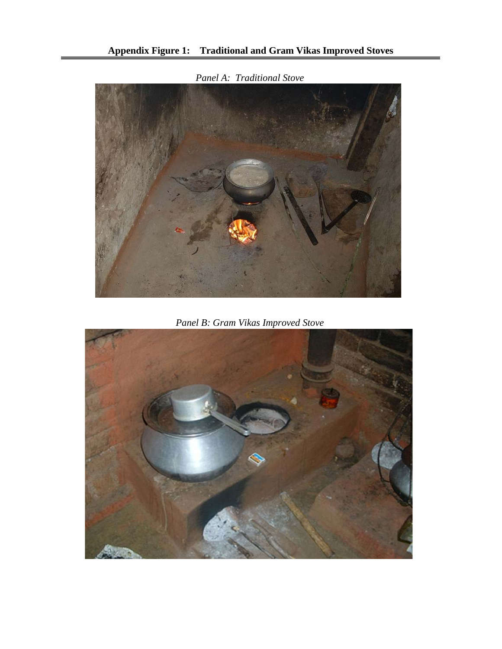

*Panel A: Traditional Stove*

*Panel B: Gram Vikas Improved Stove*

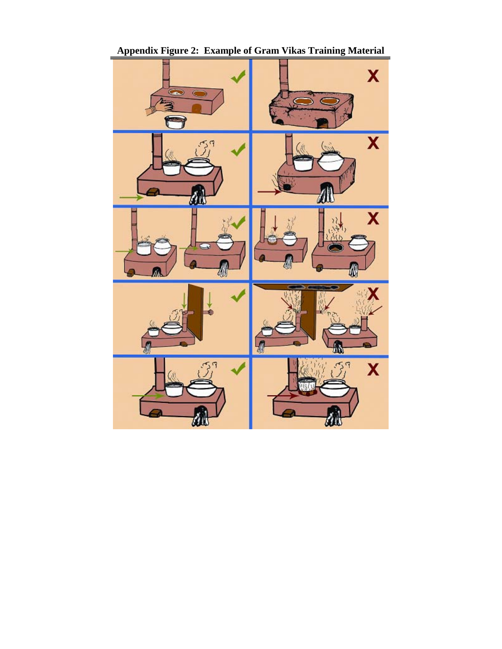

**Appendix Figure 2: Example of Gram Vikas Training Material**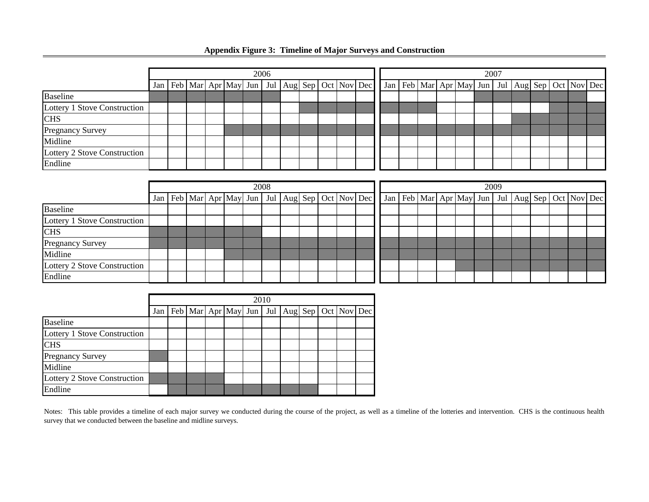|                              | 2006 |  |  |  |  |  |  |  |  |  |  |                                                                       | 2007 |  |                                                                       |  |  |  |  |  |  |  |  |  |
|------------------------------|------|--|--|--|--|--|--|--|--|--|--|-----------------------------------------------------------------------|------|--|-----------------------------------------------------------------------|--|--|--|--|--|--|--|--|--|
|                              |      |  |  |  |  |  |  |  |  |  |  | Jan   Feb   Mar   Apr   May   Jun   Jul   Aug   Sep   Oct   Nov   Dec |      |  | Jan   Feb   Mar   Apr   May   Jun   Jul   Aug   Sep   Oct   Nov   Dec |  |  |  |  |  |  |  |  |  |
| <b>Baseline</b>              |      |  |  |  |  |  |  |  |  |  |  |                                                                       |      |  |                                                                       |  |  |  |  |  |  |  |  |  |
| Lottery 1 Stove Construction |      |  |  |  |  |  |  |  |  |  |  |                                                                       |      |  |                                                                       |  |  |  |  |  |  |  |  |  |
| <b>CHS</b>                   |      |  |  |  |  |  |  |  |  |  |  |                                                                       |      |  |                                                                       |  |  |  |  |  |  |  |  |  |
| <b>Pregnancy Survey</b>      |      |  |  |  |  |  |  |  |  |  |  |                                                                       |      |  |                                                                       |  |  |  |  |  |  |  |  |  |
| Midline                      |      |  |  |  |  |  |  |  |  |  |  |                                                                       |      |  |                                                                       |  |  |  |  |  |  |  |  |  |
| Lottery 2 Stove Construction |      |  |  |  |  |  |  |  |  |  |  |                                                                       |      |  |                                                                       |  |  |  |  |  |  |  |  |  |
| Endline                      |      |  |  |  |  |  |  |  |  |  |  |                                                                       |      |  |                                                                       |  |  |  |  |  |  |  |  |  |

## **Appendix Figure 3: Timeline of Major Surveys and Construction**

|                              | 2008 |  |  |  |  |  |  |  |  |  |  |                                                                 | 2009 |  |  |  |  |  |  |  |  |  |  |  |                                                                       |
|------------------------------|------|--|--|--|--|--|--|--|--|--|--|-----------------------------------------------------------------|------|--|--|--|--|--|--|--|--|--|--|--|-----------------------------------------------------------------------|
|                              | Jan  |  |  |  |  |  |  |  |  |  |  | Feb   Mar   Apr   May   Jun   Jul   Aug   Sep   Oct   Nov   Dec |      |  |  |  |  |  |  |  |  |  |  |  | Jan   Feb   Mar   Apr   May   Jun   Jul   Aug   Sep   Oct   Nov   Dec |
| <b>Baseline</b>              |      |  |  |  |  |  |  |  |  |  |  |                                                                 |      |  |  |  |  |  |  |  |  |  |  |  |                                                                       |
| Lottery 1 Stove Construction |      |  |  |  |  |  |  |  |  |  |  |                                                                 |      |  |  |  |  |  |  |  |  |  |  |  |                                                                       |
| <b>CHS</b>                   |      |  |  |  |  |  |  |  |  |  |  |                                                                 |      |  |  |  |  |  |  |  |  |  |  |  |                                                                       |
| <b>Pregnancy Survey</b>      |      |  |  |  |  |  |  |  |  |  |  |                                                                 |      |  |  |  |  |  |  |  |  |  |  |  |                                                                       |
| Midline                      |      |  |  |  |  |  |  |  |  |  |  |                                                                 |      |  |  |  |  |  |  |  |  |  |  |  |                                                                       |
| Lottery 2 Stove Construction |      |  |  |  |  |  |  |  |  |  |  |                                                                 |      |  |  |  |  |  |  |  |  |  |  |  |                                                                       |
| Endline                      |      |  |  |  |  |  |  |  |  |  |  |                                                                 |      |  |  |  |  |  |  |  |  |  |  |  |                                                                       |

|                              | 2010 |  |  |  |  |  |  |  |  |  |                                                                 |  |  |  |  |
|------------------------------|------|--|--|--|--|--|--|--|--|--|-----------------------------------------------------------------|--|--|--|--|
|                              | Jan  |  |  |  |  |  |  |  |  |  | Feb   Mar   Apr   May   Jun   Jul   Aug   Sep   Oct   Nov   Dec |  |  |  |  |
| <b>Baseline</b>              |      |  |  |  |  |  |  |  |  |  |                                                                 |  |  |  |  |
| Lottery 1 Stove Construction |      |  |  |  |  |  |  |  |  |  |                                                                 |  |  |  |  |
| <b>CHS</b>                   |      |  |  |  |  |  |  |  |  |  |                                                                 |  |  |  |  |
| <b>Pregnancy Survey</b>      |      |  |  |  |  |  |  |  |  |  |                                                                 |  |  |  |  |
| Midline                      |      |  |  |  |  |  |  |  |  |  |                                                                 |  |  |  |  |
| Lottery 2 Stove Construction |      |  |  |  |  |  |  |  |  |  |                                                                 |  |  |  |  |
| Endline                      |      |  |  |  |  |  |  |  |  |  |                                                                 |  |  |  |  |

Notes: This table provides a timeline of each major survey we conducted during the course of the project, as well as a timeline of the lotteries and intervention. CHS is the continuous health survey that we conducted between the baseline and midline surveys.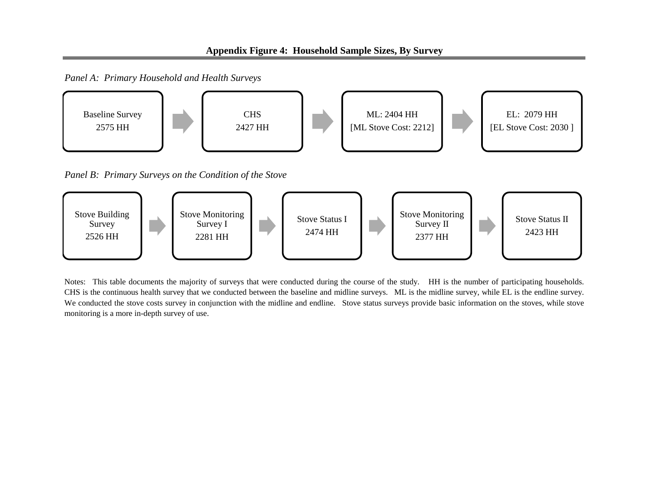*Panel A: Primary Household and Health Surveys*



Notes: This table documents the majority of surveys that were conducted during the course of the study. HH is the number of participating households. CHS is the continuous health survey that we conducted between the baseline and midline surveys. ML is the midline survey, while EL is the endline survey. We conducted the stove costs survey in conjunction with the midline and endline. Stove status surveys provide basic information on the stoves, while stove monitoring is a more in-depth survey of use.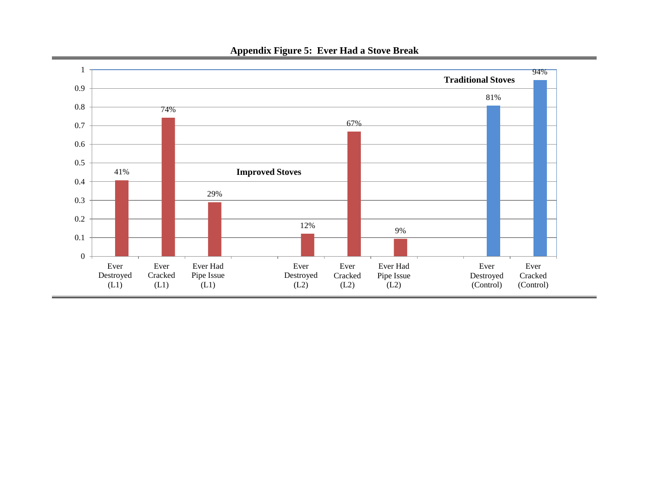

## **Appendix Figure 5: Ever Had a Stove Break**